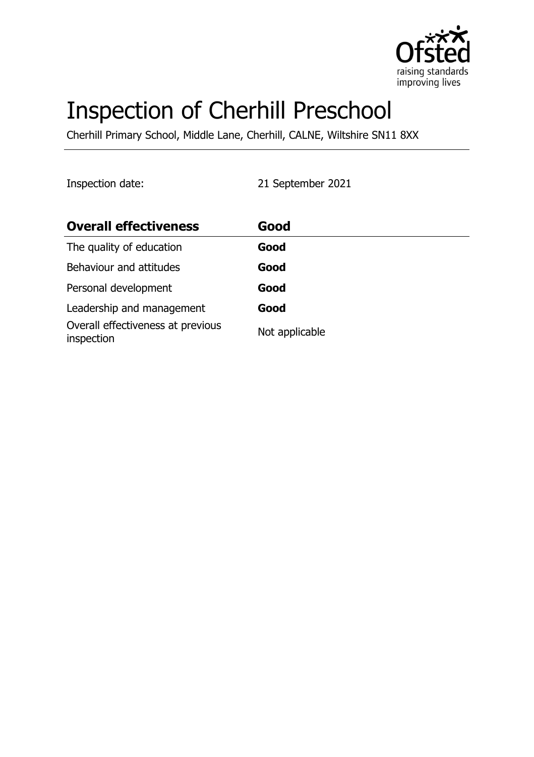

# Inspection of Cherhill Preschool

Cherhill Primary School, Middle Lane, Cherhill, CALNE, Wiltshire SN11 8XX

Inspection date: 21 September 2021

| <b>Overall effectiveness</b>                    | Good           |
|-------------------------------------------------|----------------|
| The quality of education                        | Good           |
| Behaviour and attitudes                         | Good           |
| Personal development                            | Good           |
| Leadership and management                       | Good           |
| Overall effectiveness at previous<br>inspection | Not applicable |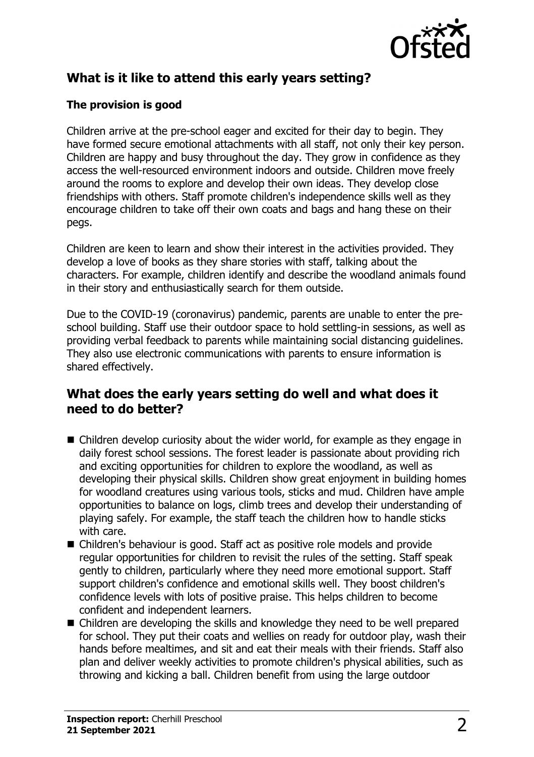

## **What is it like to attend this early years setting?**

### **The provision is good**

Children arrive at the pre-school eager and excited for their day to begin. They have formed secure emotional attachments with all staff, not only their key person. Children are happy and busy throughout the day. They grow in confidence as they access the well-resourced environment indoors and outside. Children move freely around the rooms to explore and develop their own ideas. They develop close friendships with others. Staff promote children's independence skills well as they encourage children to take off their own coats and bags and hang these on their pegs.

Children are keen to learn and show their interest in the activities provided. They develop a love of books as they share stories with staff, talking about the characters. For example, children identify and describe the woodland animals found in their story and enthusiastically search for them outside.

Due to the COVID-19 (coronavirus) pandemic, parents are unable to enter the preschool building. Staff use their outdoor space to hold settling-in sessions, as well as providing verbal feedback to parents while maintaining social distancing guidelines. They also use electronic communications with parents to ensure information is shared effectively.

## **What does the early years setting do well and what does it need to do better?**

- $\blacksquare$  Children develop curiosity about the wider world, for example as they engage in daily forest school sessions. The forest leader is passionate about providing rich and exciting opportunities for children to explore the woodland, as well as developing their physical skills. Children show great enjoyment in building homes for woodland creatures using various tools, sticks and mud. Children have ample opportunities to balance on logs, climb trees and develop their understanding of playing safely. For example, the staff teach the children how to handle sticks with care.
- Children's behaviour is good. Staff act as positive role models and provide regular opportunities for children to revisit the rules of the setting. Staff speak gently to children, particularly where they need more emotional support. Staff support children's confidence and emotional skills well. They boost children's confidence levels with lots of positive praise. This helps children to become confident and independent learners.
- $\blacksquare$  Children are developing the skills and knowledge they need to be well prepared for school. They put their coats and wellies on ready for outdoor play, wash their hands before mealtimes, and sit and eat their meals with their friends. Staff also plan and deliver weekly activities to promote children's physical abilities, such as throwing and kicking a ball. Children benefit from using the large outdoor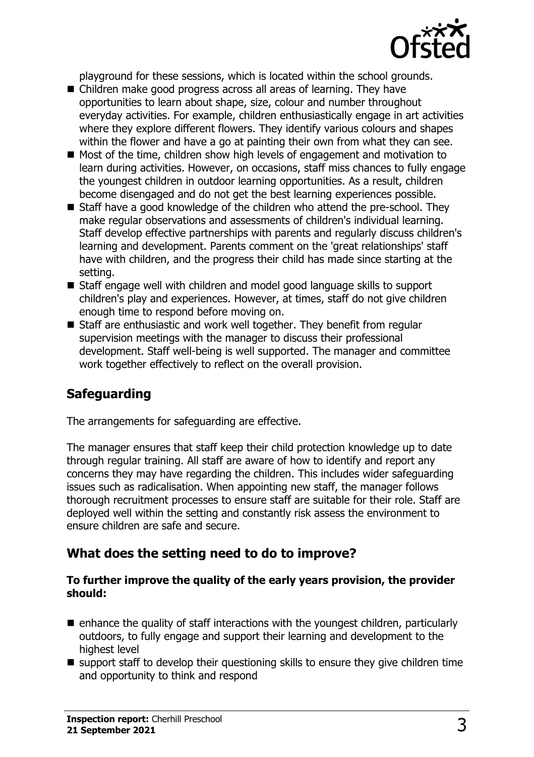

playground for these sessions, which is located within the school grounds.

- Children make good progress across all areas of learning. They have opportunities to learn about shape, size, colour and number throughout everyday activities. For example, children enthusiastically engage in art activities where they explore different flowers. They identify various colours and shapes within the flower and have a go at painting their own from what they can see.
- $\blacksquare$  Most of the time, children show high levels of engagement and motivation to learn during activities. However, on occasions, staff miss chances to fully engage the youngest children in outdoor learning opportunities. As a result, children become disengaged and do not get the best learning experiences possible.
- $\blacksquare$  Staff have a good knowledge of the children who attend the pre-school. They make regular observations and assessments of children's individual learning. Staff develop effective partnerships with parents and regularly discuss children's learning and development. Parents comment on the 'great relationships' staff have with children, and the progress their child has made since starting at the setting.
- Staff engage well with children and model good language skills to support children's play and experiences. However, at times, staff do not give children enough time to respond before moving on.
- $\blacksquare$  Staff are enthusiastic and work well together. They benefit from regular supervision meetings with the manager to discuss their professional development. Staff well-being is well supported. The manager and committee work together effectively to reflect on the overall provision.

## **Safeguarding**

The arrangements for safeguarding are effective.

The manager ensures that staff keep their child protection knowledge up to date through regular training. All staff are aware of how to identify and report any concerns they may have regarding the children. This includes wider safeguarding issues such as radicalisation. When appointing new staff, the manager follows thorough recruitment processes to ensure staff are suitable for their role. Staff are deployed well within the setting and constantly risk assess the environment to ensure children are safe and secure.

#### **What does the setting need to do to improve?**

#### **To further improve the quality of the early years provision, the provider should:**

- $\blacksquare$  enhance the quality of staff interactions with the youngest children, particularly outdoors, to fully engage and support their learning and development to the highest level
- $\blacksquare$  support staff to develop their questioning skills to ensure they give children time and opportunity to think and respond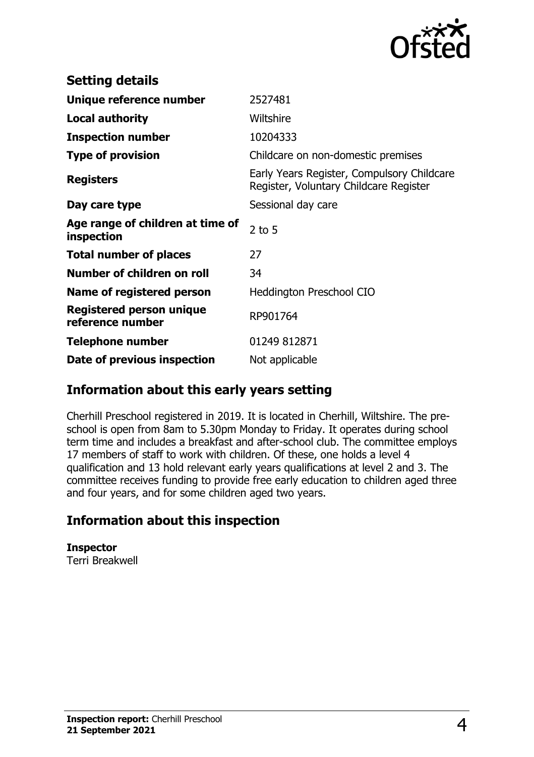

| <b>Setting details</b>                              |                                                                                      |
|-----------------------------------------------------|--------------------------------------------------------------------------------------|
| Unique reference number                             | 2527481                                                                              |
| <b>Local authority</b>                              | Wiltshire                                                                            |
| <b>Inspection number</b>                            | 10204333                                                                             |
| <b>Type of provision</b>                            | Childcare on non-domestic premises                                                   |
| <b>Registers</b>                                    | Early Years Register, Compulsory Childcare<br>Register, Voluntary Childcare Register |
| Day care type                                       | Sessional day care                                                                   |
| Age range of children at time of<br>inspection      | $2$ to 5                                                                             |
| <b>Total number of places</b>                       | 27                                                                                   |
| Number of children on roll                          | 34                                                                                   |
| Name of registered person                           | <b>Heddington Preschool CIO</b>                                                      |
| <b>Registered person unique</b><br>reference number | RP901764                                                                             |
| <b>Telephone number</b>                             | 01249 812871                                                                         |
| Date of previous inspection                         | Not applicable                                                                       |

## **Information about this early years setting**

Cherhill Preschool registered in 2019. It is located in Cherhill, Wiltshire. The preschool is open from 8am to 5.30pm Monday to Friday. It operates during school term time and includes a breakfast and after-school club. The committee employs 17 members of staff to work with children. Of these, one holds a level 4 qualification and 13 hold relevant early years qualifications at level 2 and 3. The committee receives funding to provide free early education to children aged three and four years, and for some children aged two years.

## **Information about this inspection**

**Inspector** Terri Breakwell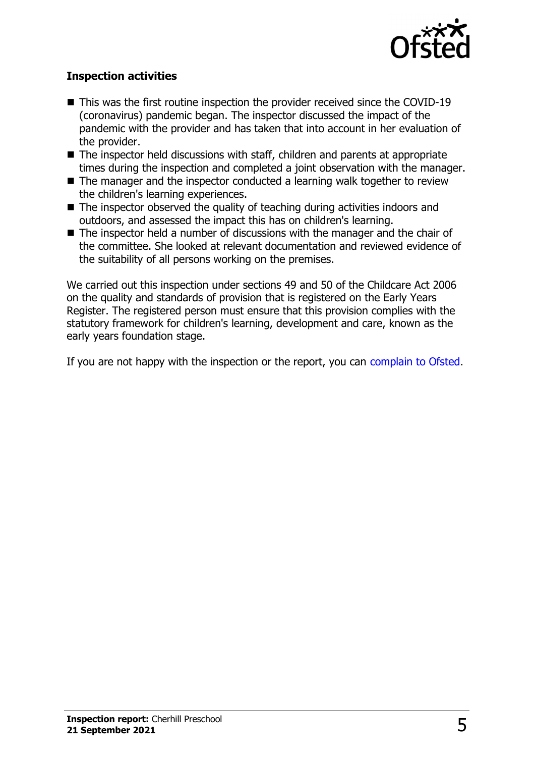

#### **Inspection activities**

- $\blacksquare$  This was the first routine inspection the provider received since the COVID-19 (coronavirus) pandemic began. The inspector discussed the impact of the pandemic with the provider and has taken that into account in her evaluation of the provider.
- $\blacksquare$  The inspector held discussions with staff, children and parents at appropriate times during the inspection and completed a joint observation with the manager.
- $\blacksquare$  The manager and the inspector conducted a learning walk together to review the children's learning experiences.
- $\blacksquare$  The inspector observed the quality of teaching during activities indoors and outdoors, and assessed the impact this has on children's learning.
- $\blacksquare$  The inspector held a number of discussions with the manager and the chair of the committee. She looked at relevant documentation and reviewed evidence of the suitability of all persons working on the premises.

We carried out this inspection under sections 49 and 50 of the Childcare Act 2006 on the quality and standards of provision that is registered on the Early Years Register. The registered person must ensure that this provision complies with the statutory framework for children's learning, development and care, known as the early years foundation stage.

If you are not happy with the inspection or the report, you can [complain to Ofsted](http://www.gov.uk/complain-ofsted-report).